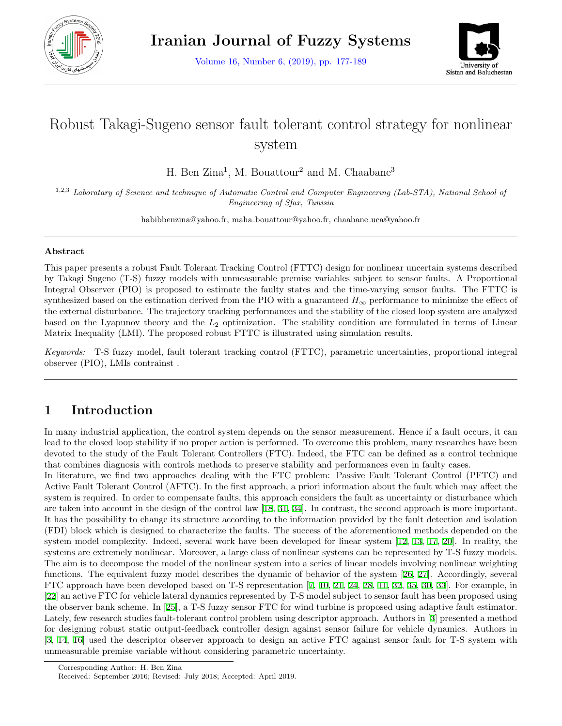

Volume 16, Number 6, (2019), pp. 177-189



# Robust Takagi-Sugeno sensor fault tolerant control strategy for nonlinear system

H. Ben Zina<sup>1</sup>, M. Bouattour<sup>2</sup> and M. Chaabane<sup>3</sup>

1,2,3 *Laboratary of Science and technique of Automatic Control and Computer Engineering (Lab-STA), National School of Engineering of Sfax, Tunisia*

habibbenzina@yahoo.fr, maha bouattour@yahoo.fr, chaabane uca@yahoo.fr

#### **Abstract**

This paper presents a robust Fault Tolerant Tracking Control (FTTC) design for nonlinear uncertain systems described by Takagi Sugeno (T-S) fuzzy models with unmeasurable premise variables subject to sensor faults. A Proportional Integral Observer (PIO) is proposed to estimate the faulty states and the time-varying sensor faults. The FTTC is synthesized based on the estimation derived from the PIO with a guaranteed  $H_{\infty}$  performance to minimize the effect of the external disturbance. The trajectory tracking performances and the stability of the closed loop system are analyzed based on the Lyapunov theory and the *L*<sup>2</sup> optimization. The stability condition are formulated in terms of Linear Matrix Inequality (LMI). The proposed robust FTTC is illustrated using simulation results.

*Keywords:* T-S fuzzy model, fault tolerant tracking control (FTTC), parametric uncertainties, proportional integral observer (PIO), LMIs contrainst .

## **1 Introduction**

In many industrial application, the control system depends on the sensor measurement. Hence if a fault occurs, it can lead to the closed loop stability if no proper action is performed. To overcome this problem, many researches have been devoted to the study of the Fault Tolerant Controllers (FTC). Indeed, the FTC can be defined as a control technique that combines diagnosis with controls methods to preserve stability and performances even in faulty cases.

In literature, we find two approaches dealing with the FTC problem: Passive Fault Tolerant Control (PFTC) and Active Fault Tolerant Control (AFTC). In the first approach, a priori information about the fault which may affect the system is required. In order to compensate faults, this approach considers the fault as uncertainty or disturbance which are taken into account in the design of the control law [\[18](#page-12-0), [31](#page-12-1), [34\]](#page-12-2). In contrast, the second approach is more important. It has the possibility to change its structure according to the information provided by the fault detection and isolation (FDI) block which is designed to characterize the faults. The success of the aforementioned methods depended on the system model complexity. Indeed, several work have been developed for linear system [\[12](#page-11-0), [13,](#page-11-1) [17](#page-12-3), [20\]](#page-12-4). In reality, the systems are extremely nonlinear. Moreover, a large class of nonlinear systems can be represented by T-S fuzzy models. The aim is to decompose the model of the nonlinear system into a series of linear models involving nonlinear weighting functions. The equivalent fuzzy model describes the dynamic of behavior of the system [\[26](#page-12-5), [27\]](#page-12-6). Accordingly, several FTC approach have been developed based on T-S representation[[7,](#page-11-2) [10,](#page-11-3) [21,](#page-12-7) [24,](#page-12-8) [28,](#page-12-9) [11,](#page-11-4) [32,](#page-12-10) [35,](#page-12-11) [30,](#page-12-12) [33\]](#page-12-13). For example, in [[22\]](#page-12-14) an active FTC for vehicle lateral dynamics represented by T-S model subject to sensor fault has been proposed using the observer bank scheme. In[[25](#page-12-15)], a T-S fuzzy sensor FTC for wind turbine is proposed using adaptive fault estimator. Lately, few research studies fault-tolerant control problem using descriptor approach. Authors in[[3\]](#page-11-5) presented a method for designing robust static output-feedback controller design against sensor failure for vehicle dynamics. Authors in [[3,](#page-11-5) [14,](#page-11-6) [16\]](#page-11-7) used the descriptor observer approach to design an active FTC against sensor fault for T-S system with unmeasurable premise variable without considering parametric uncertainty.

Corresponding Author: H. Ben Zina

Received: September 2016; Revised: July 2018; Accepted: April 2019.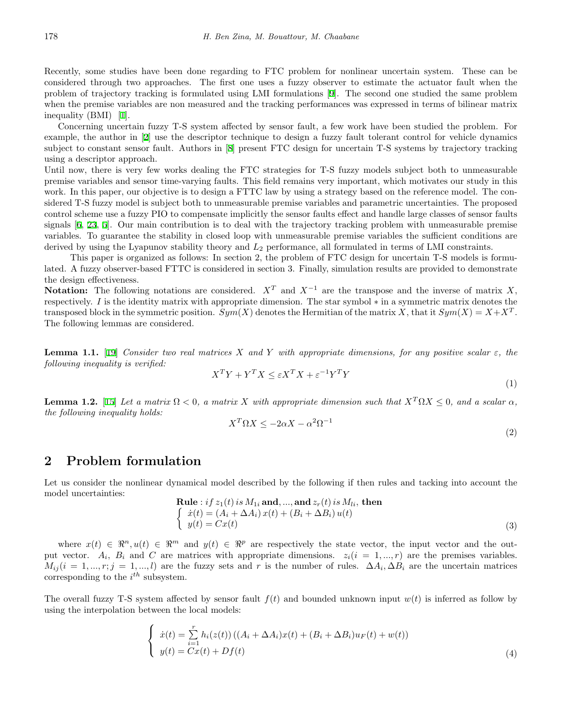Recently, some studies have been done regarding to FTC problem for nonlinear uncertain system. These can be considered through two approaches. The first one uses a fuzzy observer to estimate the actuator fault when the problem of trajectory tracking is formulated using LMI formulations[[9](#page-11-8)]. The second one studied the same problem when the premise variables are non measured and the tracking performances was expressed in terms of bilinear matrix inequality (BMI) [\[1](#page-11-9)].

Concerning uncertain fuzzy T-S system affected by sensor fault, a few work have been studied the problem. For example, the author in[[2\]](#page-11-10) use the descriptor technique to design a fuzzy fault tolerant control for vehicle dynamics subject to constant sensor fault. Authors in [\[8](#page-11-11)] present FTC design for uncertain T-S systems by trajectory tracking using a descriptor approach.

Until now, there is very few works dealing the FTC strategies for T-S fuzzy models subject both to unmeasurable premise variables and sensor time-varying faults. This field remains very important, which motivates our study in this work. In this paper, our objective is to design a FTTC law by using a strategy based on the reference model. The considered T-S fuzzy model is subject both to unmeasurable premise variables and parametric uncertainties. The proposed control scheme use a fuzzy PIO to compensate implicitly the sensor faults effect and handle large classes of sensor faults signals[[6,](#page-11-12) [23](#page-12-16), [5\]](#page-11-13). Our main contribution is to deal with the trajectory tracking problem with unmeasurable premise variables. To guarantee the stability in closed loop with unmeasurable premise variables the sufficient conditions are derived by using the Lyapunov stability theory and *L*<sup>2</sup> performance, all formulated in terms of LMI constraints.

This paper is organized as follows: In section 2, the problem of FTC design for uncertain T-S models is formulated. A fuzzy observer-based FTTC is considered in section 3. Finally, simulation results are provided to demonstrate the design effectiveness.

Notation: The following notations are considered.  $X^T$  and  $X^{-1}$  are the transpose and the inverse of matrix *X*, respectively. *I* is the identity matrix with appropriate dimension. The star symbol *∗* in a symmetric matrix denotes the transposed block in the symmetric position.  $Sym(X)$  denotes the Hermitian of the matrix *X*, that it  $Sym(X) = X + X^T$ . The following lemmas are considered.

**Lemma 1.1.** [\[19](#page-12-17)] *Consider two real matrices X and Y with appropriate dimensions, for any positive scalar*  $\varepsilon$ *, the following inequality is verified:*

$$
X^T Y + Y^T X \le \varepsilon X^T X + \varepsilon^{-1} Y^T Y \tag{1}
$$

**Lemma 1.2.** [[15](#page-11-14)] *Let a matrix*  $\Omega < 0$ *, a matrix X with appropriate dimension such that*  $X^T \Omega X \leq 0$ *, and a scalar*  $\alpha$ *, the following inequality holds:*

$$
X^T \Omega X \le -2\alpha X - \alpha^2 \Omega^{-1}
$$
\n<sup>(2)</sup>

### **2 Problem formulation**

Let us consider the nonlinear dynamical model described by the following if then rules and tacking into account the model uncertainties:

Rule: if 
$$
z_1(t)
$$
 is  $M_{1i}$  and, ..., and  $z_r(t)$  is  $M_{li}$ , then  
\n
$$
\begin{cases}\n\dot{x}(t) = (A_i + \Delta A_i) x(t) + (B_i + \Delta B_i) u(t) \\
y(t) = Cx(t)\n\end{cases}
$$
\n(3)

where  $x(t) \in \mathbb{R}^n, u(t) \in \mathbb{R}^m$  and  $y(t) \in \mathbb{R}^p$  are respectively the state vector, the input vector and the output vector.  $A_i$ ,  $B_i$  and C are matrices with appropriate dimensions.  $z_i(i = 1, ..., r)$  are the premises variables.  $M_{ij}$  (*i* = 1, ..., *r*; *j* = 1, ..., *l*) are the fuzzy sets and *r* is the number of rules.  $\Delta A_i$ ,  $\Delta B_i$  are the uncertain matrices corresponding to the *i th* subsystem.

The overall fuzzy T-S system affected by sensor fault  $f(t)$  and bounded unknown input  $w(t)$  is inferred as follow by using the interpolation between the local models:

$$
\begin{cases}\n\dot{x}(t) = \sum_{i=1}^{r} h_i(z(t)) \left( (A_i + \Delta A_i)x(t) + (B_i + \Delta B_i)u_F(t) + w(t) \right) \\
y(t) = Cx(t) + Df(t)\n\end{cases} \tag{4}
$$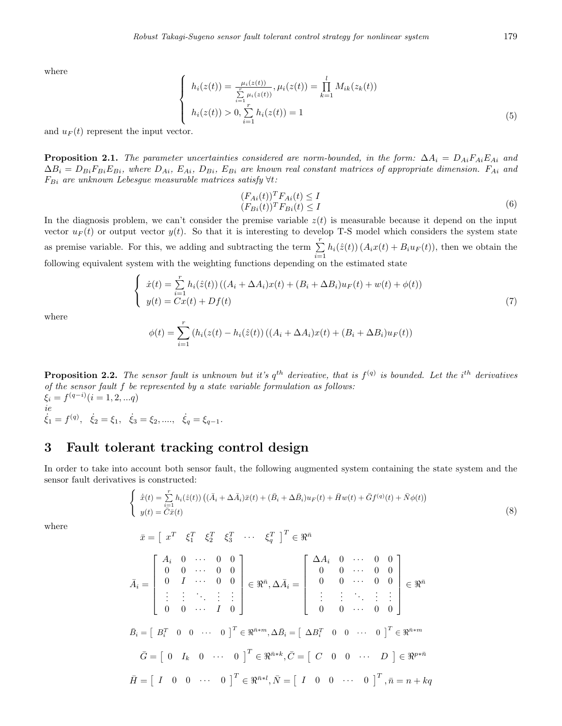where

$$
\begin{cases}\nh_i(z(t)) = \frac{\mu_i(z(t))}{\sum\limits_{i=1}^r \mu_i(z(t))}, \mu_i(z(t)) = \prod\limits_{k=1}^l M_{ik}(z_k(t)) \\
h_i(z(t)) > 0, \sum\limits_{i=1}^r h_i(z(t)) = 1\n\end{cases}
$$
\n(5)

and  $u_F(t)$  represent the input vector.

**Proposition 2.1.** *The parameter uncertainties considered are norm-bounded, in the form:*  $\Delta A_i = D_{Ai}F_{Ai}E_{Ai}$  and  $\Delta B_i = D_{Bi}F_{Bi}E_{Bi}$ , where  $D_{Ai}$ ,  $E_{Ai}$ ,  $D_{Bi}$ ,  $E_{Bi}$  are known real constant matrices of appropriate dimension.  $F_{Ai}$  and *FBi are unknown Lebesgue measurable matrices satisfy ∀t:*

$$
(F_{Ai}(t))^{T} F_{Ai}(t) \leq I
$$
  
\n
$$
(F_{Bi}(t))^{T} F_{Bi}(t) \leq I
$$
\n(6)

In the diagnosis problem, we can't consider the premise variable  $z(t)$  is measurable because it depend on the input vector  $u_F(t)$  or output vector  $y(t)$ . So that it is interesting to develop T-S model which considers the system state as premise variable. For this, we adding and subtracting the term  $\sum_{i=1}^{r}$  $\sum_{i=1} h_i(\hat{z}(t)) (A_i x(t) + B_i u_F(t))$ , then we obtain the following equivalent system with the weighting functions depending on the estimated state

$$
\begin{cases}\n\dot{x}(t) = \sum_{i=1}^{r} h_i(\hat{z}(t)) \left( (A_i + \Delta A_i)x(t) + (B_i + \Delta B_i)u_F(t) + w(t) + \phi(t) \right) \\
y(t) = Cx(t) + Df(t)\n\end{cases} (7)
$$

where

$$
\phi(t) = \sum_{i=1}^{r} (h_i(z(t) - h_i(\hat{z}(t)) ((A_i + \Delta A_i)x(t) + (B_i + \Delta B_i)u_F(t)))
$$

**Proposition 2.2.** The sensor fault is unknown but it's  $q^{th}$  derivative, that is  $f^{(q)}$  is bounded. Let the i<sup>th</sup> derivatives *of the sensor fault f be represented by a state variable formulation as follows:*  $\xi_i = f^{(q-i)}(i = 1, 2, ... q)$ *ie*

 $\dot{\xi}_1 = f^{(q)}, \quad \dot{\xi}_2 = \xi_1, \quad \dot{\xi}_3 = \xi_2, \dots, \quad \dot{\xi}_q = \xi_{q-1}.$ 

# **3 Fault tolerant tracking control design**

In order to take into account both sensor fault, the following augmented system containing the state system and the sensor fault derivatives is constructed:

$$
\begin{cases}\n\dot{\bar{x}}(t) = \sum_{i=1}^{r} h_i(\hat{z}(t)) \left( (\bar{A}_i + \Delta \bar{A}_i) \bar{x}(t) + (\bar{B}_i + \Delta \bar{B}_i) u_F(t) + \bar{H} w(t) + \bar{G} f^{(q)}(t) + \bar{N} \phi(t) \right) \\
y(t) = \bar{C} \bar{x}(t)\n\end{cases} \tag{8}
$$

where

$$
\bar{x} = \begin{bmatrix} x^T & \xi_1^T & \xi_2^T & \xi_3^T & \cdots & \xi_q^T \end{bmatrix}^T \in \mathbb{R}^{\bar{n}}
$$
\n
$$
\bar{A}_i = \begin{bmatrix}\nA_i & 0 & \cdots & 0 & 0 \\
0 & 0 & \cdots & 0 & 0 \\
0 & I & \cdots & 0 & 0 \\
\vdots & \vdots & \ddots & \vdots & \vdots \\
0 & 0 & \cdots & I & 0\n\end{bmatrix} \in \mathbb{R}^{\bar{n}}, \Delta \bar{A}_i = \begin{bmatrix}\n\Delta A_i & 0 & \cdots & 0 & 0 \\
0 & 0 & \cdots & 0 & 0 \\
0 & 0 & \cdots & 0 & 0 \\
\vdots & \vdots & \ddots & \vdots & \vdots \\
0 & 0 & \cdots & 0 & 0\n\end{bmatrix} \in \mathbb{R}^{\bar{n}}
$$
\n
$$
\bar{B}_i = \begin{bmatrix} B_i^T & 0 & 0 & \cdots & 0 \end{bmatrix}^T \in \mathbb{R}^{\bar{n} * m}, \Delta \bar{B}_i = \begin{bmatrix} \Delta B_i^T & 0 & 0 & \cdots & 0 \end{bmatrix}^T \in \mathbb{R}^{\bar{n} * m}
$$
\n
$$
\bar{G} = \begin{bmatrix} 0 & I_k & 0 & \cdots & 0 \end{bmatrix}^T \in \mathbb{R}^{\bar{n} * k}, \bar{C} = \begin{bmatrix} C & 0 & 0 & \cdots & 0 \end{bmatrix}^T, \bar{n} = n + kq
$$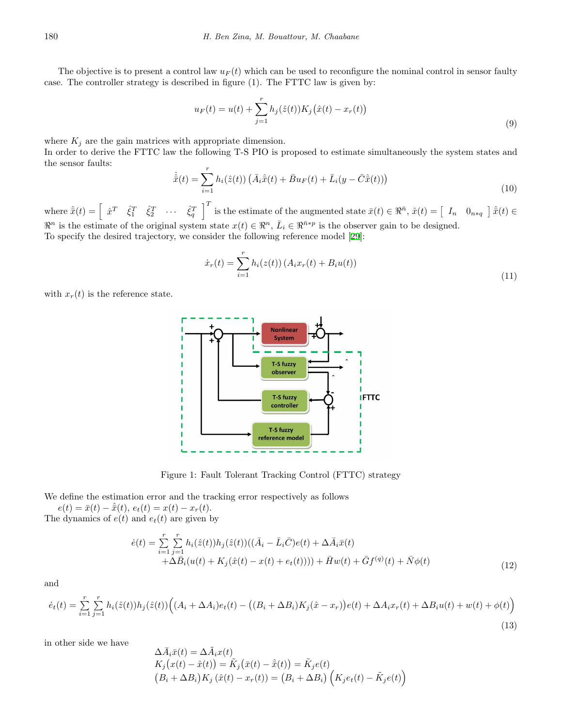The objective is to present a control law  $u_F(t)$  which can be used to reconfigure the nominal control in sensor faulty case. The controller strategy is described in figure (1). The FTTC law is given by:

$$
u_F(t) = u(t) + \sum_{j=1}^r h_j(\hat{z}(t)) K_j(\hat{x}(t) - x_r(t))
$$
\n(9)

where  $K_j$  are the gain matrices with appropriate dimension.

In order to derive the FTTC law the following T-S PIO is proposed to estimate simultaneously the system states and the sensor faults:

$$
\dot{\hat{x}}(t) = \sum_{i=1}^{r} h_i(\hat{z}(t)) \left( \bar{A}_i \hat{x}(t) + \bar{B} u_F(t) + \bar{L}_i (y - \bar{C} \hat{x}(t)) \right)
$$
\n(10)

where  $\hat{\bar{x}}(t) = \begin{bmatrix} \hat{x}^T & \hat{\xi}_1^T & \hat{\xi}_2^T & \cdots & \hat{\xi}_q^T \end{bmatrix}^T$  is the estimate of the augmented state  $\bar{x}(t) \in \Re^{\bar{n}}, \hat{x}(t) = \begin{bmatrix} I_n & 0_{n \ast q} \end{bmatrix} \hat{\bar{x}}(t) \in$  $\mathbb{R}^n$  is the estimate of the original system state  $x(t) \in \mathbb{R}^n$ ,  $\bar{L}_i \in \mathbb{R}^{\bar{n}*\bar{p}}$  is the observer gain to be designed. To specify the desired trajectory, we consider the following reference model[[29](#page-12-18)]:

$$
\dot{x}_r(t) = \sum_{i=1}^r h_i(z(t)) \left( A_i x_r(t) + B_i u(t) \right) \tag{11}
$$

with  $x_r(t)$  is the reference state.



<span id="page-3-0"></span>Figure 1: Fault Tolerant Tracking Control (FTTC) strategy

We define the estimation error and the tracking error respectively as follows

 $e(t) = \bar{x}(t) - \hat{x}(t), e_t(t) = x(t) - x_r(t).$ 

The dynamics of 
$$
e(t)
$$
 and  $e_t(t)$  are given by

$$
\dot{e}(t) = \sum_{i=1}^{r} \sum_{j=1}^{r} h_i(\hat{z}(t)) h_j(\hat{z}(t)) ((\bar{A}_i - \bar{L}_i \bar{C})e(t) + \Delta \bar{A}_i \bar{x}(t) + \Delta \bar{B}_i (u(t) + K_j(\hat{x}(t) - x(t) + e_t(t)))) + \bar{H}w(t) + \bar{G}f^{(q)}(t) + \bar{N}\phi(t)
$$
\n(12)

and

$$
\dot{e}_t(t) = \sum_{i=1}^r \sum_{j=1}^r h_i(\hat{z}(t)) h_j(\hat{z}(t)) \Big( (A_i + \Delta A_i) e_t(t) - \big( (B_i + \Delta B_i) K_j(\hat{x} - x_r) \big) e(t) + \Delta A_i x_r(t) + \Delta B_i u(t) + w(t) + \phi(t) \Big)
$$
\n(13)

in other side we have

$$
\Delta \bar{A}_i \bar{x}(t) = \Delta \tilde{A}_i x(t)
$$
  
\n
$$
K_j(x(t) - \hat{x}(t)) = \tilde{K}_j(\bar{x}(t) - \hat{x}(t)) = \tilde{K}_j e(t)
$$
  
\n
$$
(B_i + \Delta B_i) K_j(\hat{x}(t) - x_r(t)) = (B_i + \Delta B_i) (K_j e_t(t) - \tilde{K}_j e(t))
$$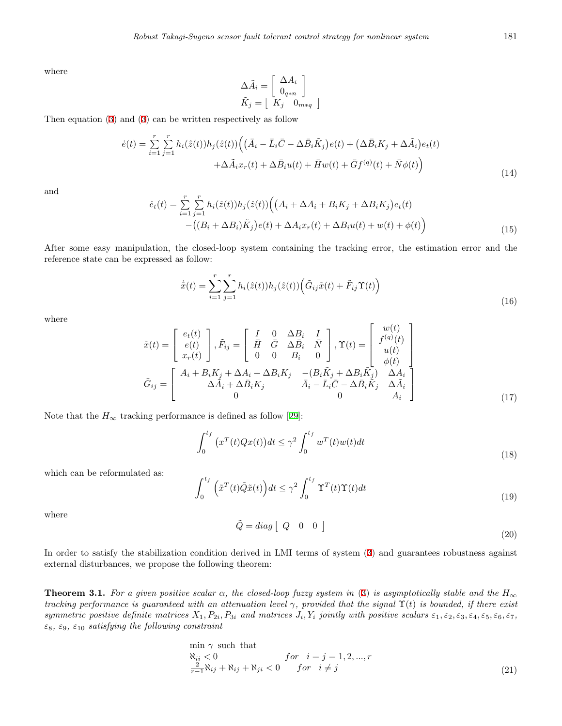where

$$
\Delta \tilde{A}_i = \begin{bmatrix} \Delta A_i \\ 0_{q*n} \end{bmatrix}
$$

$$
\tilde{K}_j = \begin{bmatrix} K_j & 0_{m*q} \end{bmatrix}
$$

Then equation([3\)](#page-3-0) and [\(3](#page-3-0)) can be written respectively as follow

$$
\dot{e}(t) = \sum_{i=1}^{r} \sum_{j=1}^{r} h_i(\hat{z}(t)) h_j(\hat{z}(t)) \Big( (\bar{A}_i - \bar{L}_i \bar{C} - \Delta \bar{B}_i \tilde{K}_j) e(t) + (\Delta \bar{B}_i K_j + \Delta \tilde{A}_i) e_t(t) + \Delta \tilde{A}_i x_r(t) + \Delta \bar{B}_i u(t) + \bar{H} w(t) + \bar{G} f^{(q)}(t) + \bar{N} \phi(t) \Big)
$$
\n(14)

and

$$
\dot{e}_t(t) = \sum_{i=1}^r \sum_{j=1}^r h_i(\hat{z}(t)) h_j(\hat{z}(t)) \Big( \big( A_i + \Delta A_i + B_i K_j + \Delta B_i K_j \big) e_t(t) - \big( (B_i + \Delta B_i) \tilde{K}_j \big) e(t) + \Delta A_i x_r(t) + \Delta B_i u(t) + w(t) + \phi(t) \Big) \tag{15}
$$

After some easy manipulation, the closed-loop system containing the tracking error, the estimation error and the reference state can be expressed as follow:

$$
\dot{\tilde{x}}(t) = \sum_{i=1}^{r} \sum_{j=1}^{r} h_i(\hat{z}(t)) h_j(\hat{z}(t)) \left( \tilde{G}_{ij} \tilde{x}(t) + \tilde{F}_{ij} \Upsilon(t) \right)
$$
\n(16)

where

$$
\tilde{x}(t) = \begin{bmatrix} e_t(t) \\ e(t) \\ x_r(t) \end{bmatrix}, \tilde{F}_{ij} = \begin{bmatrix} I & 0 & \Delta B_i & I \\ \bar{H} & \bar{G} & \Delta \bar{B}_i & \bar{N} \\ 0 & 0 & B_i & 0 \end{bmatrix}, \Upsilon(t) = \begin{bmatrix} w(t) \\ f^{(q)}(t) \\ u(t) \\ \phi(t) \\ \phi(t) \end{bmatrix}
$$

$$
\tilde{G}_{ij} = \begin{bmatrix} A_i + B_i K_j + \Delta A_i + \Delta B_i K_j & -(B_i \tilde{K}_j + \Delta B_i \tilde{K}_j) & \Delta A_i \\ \Delta \tilde{A}_i + \Delta \bar{B}_i K_j & \bar{A}_i - \bar{L}_i \bar{C} - \Delta \bar{B}_i \tilde{K}_j & \Delta \tilde{A}_i \\ 0 & 0 & A_i \end{bmatrix}
$$
(17)

Notethat the  $H_{\infty}$  tracking performance is defined as follow [[29\]](#page-12-18):

$$
\int_0^{t_f} \left( x^T(t)Qx(t) \right) dt \le \gamma^2 \int_0^{t_f} w^T(t)w(t)dt \tag{18}
$$

which can be reformulated as:

$$
\int_0^{t_f} \left(\tilde{x}^T(t)\tilde{Q}\tilde{x}(t)\right)dt \le \gamma^2 \int_0^{t_f} \Upsilon^T(t)\Upsilon(t)dt
$$
\n(19)

where

$$
\tilde{Q} = diag \begin{bmatrix} Q & 0 & 0 \end{bmatrix}
$$
\n(20)

In order to satisfy the stabilization condition derived in LMI terms of system([3](#page-3-0)) and guarantees robustness against external disturbances, we propose the following theorem:

**Theorem 3.1.** For a given positive scalar  $\alpha$ , the closed-loop fuzzy system in ([3\)](#page-3-0) is asymptotically stable and the  $H_{\infty}$ *tracking performance is guaranteed with an attenuation level γ, provided that the signal* Υ(*t*) *is bounded, if there exist* symmetric positive definite matrices  $X_1, P_{2i}, P_{3i}$  and matrices  $J_i, Y_i$  jointly with positive scalars  $\varepsilon_1, \varepsilon_2, \varepsilon_3, \varepsilon_4, \varepsilon_5, \varepsilon_6, \varepsilon_7,$ *ε*8*, ε*9*, ε*<sup>10</sup> *satisfying the following constraint*

$$
\min_{\begin{subarray}{l}\mathbf{\aleph}_{ii} < 0\\ \frac{2}{r-1}\mathbf{\aleph}_{ij} + \mathbf{\aleph}_{ij} + \mathbf{\aleph}_{ji} < 0 \end{subarray}} \text{for } i = j = 1, 2, \dots, r
$$
\n
$$
(21)
$$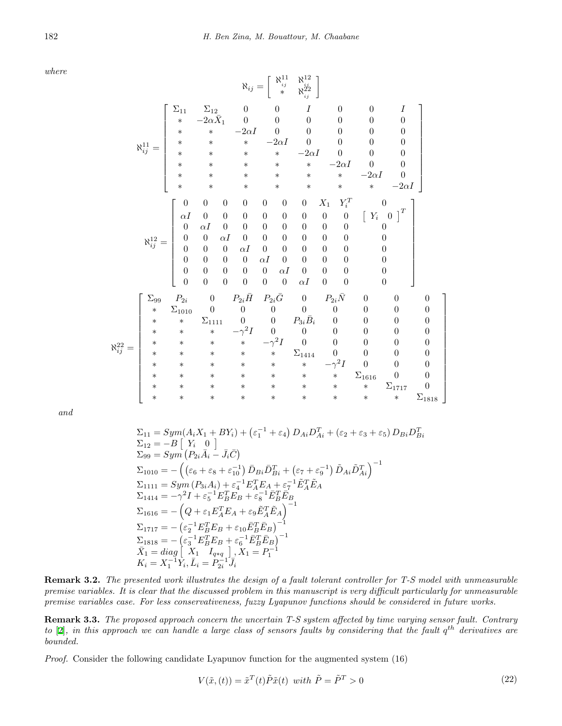*where*

$$
\aleph_{ij} = \begin{bmatrix}\n\sum_{11} & \sum_{12} & 0 & 0 & 1 & 0 & 0 & 1 \\
\ast & -2\alpha \bar{X}_1 & 0 & 0 & 0 & 0 & 0 & 0 \\
\ast & \ast & -2\alpha I & 0 & 0 & 0 & 0 & 0 & 0 \\
\ast & \ast & \ast & \ast & -2\alpha I & 0 & 0 & 0 & 0 \\
\ast & \ast & \ast & \ast & \ast & \ast & -2\alpha I & 0 & 0 & 0 \\
\ast & \ast & \ast & \ast & \ast & \ast & \ast & \ast & -2\alpha I & 0 & 0 \\
\ast & \ast & \ast & \ast & \ast & \ast & \ast & \ast & \ast & -2\alpha I & 0 \\
\ast & \ast & \ast & \ast & \ast & \ast & \ast & \ast & \ast & \ast & -2\alpha I\n\end{bmatrix}
$$
\n
$$
\aleph_{ij}^{12} = \begin{bmatrix}\n0 & 0 & 0 & 0 & 0 & 0 & 0 & 0 & 0 & 0 & 0 & 0 \\
0 & 0 & 0 & 0 & 0 & 0 & 0 & 0 & 0 & 0 & 0 & 0 \\
0 & 0 & 0 & 0 & 0 & 0 & 0 & 0 & 0 & 0 & 0 \\
0 & 0 & 0 & 0 & 0 & 0 & 0 & 0 & 0 & 0 & 0 \\
0 & 0 & 0 & 0 & 0 & 0 & 0 & 0 & 0 & 0 & 0 \\
0 & 0 & 0 & 0 & 0 & 0 & 0 & 0 & 0 & 0 & 0 \\
0 & 0 & 0 & 0 & 0 & 0 & 0 & 0 & 0 & 0 & 0 \\
0 & 0 & 0 & 0 & 0 & 0 & 0 & 0 & 0 & 0 & 0 \\
\ast & \ast & \Sigma_{1010} & 0 & 0 & 0 & 0 & 0 & 0 & 0 & 0 & 0 \\
\ast & \ast & \ast & \ast & \ast & \ast & \ast & \ast & \ast & \ast & \ast & \ast \\
\ast & \ast & \ast & \ast & \ast & \ast & \ast & \ast & \ast & \ast & \ast & \ast & \ast\n\end{bmatrix}
$$
\n
$$
\aleph_{ij}^{22} = \begin{bmatrix}\n\sum_{11} & \sum_{12} & 0 & 0 & 0 & 1 & 0 & 0 & 0 & 0 &
$$

*and*

$$
\Sigma_{11} = Sym(A_iX_1 + BY_i) + (\varepsilon_1^{-1} + \varepsilon_4) D_{Ai}D_{Ai}^T + (\varepsilon_2 + \varepsilon_3 + \varepsilon_5) D_{Bi}D_{Bi}^T
$$
  
\n
$$
\Sigma_{12} = -B [Y_i \ 0]
$$
  
\n
$$
\Sigma_{99} = Sym (P_{2i}\bar{A}_i - \bar{J}_i\bar{C})
$$
  
\n
$$
\Sigma_{1010} = - ((\varepsilon_6 + \varepsilon_8 + \varepsilon_{10}^{-1}) \bar{D}_{Bi}\bar{D}_{Bi}^T + (\varepsilon_7 + \varepsilon_9^{-1}) \tilde{D}_{Ai}\tilde{D}_{Ai}^T)^{-1}
$$
  
\n
$$
\Sigma_{1111} = Sym (P_{3i}A_i) + \varepsilon_4^{-1} E_A^T E_A + \varepsilon_7^{-1} \tilde{E}_A^T \tilde{E}_A
$$
  
\n
$$
\Sigma_{1414} = -\gamma^2 I + \varepsilon_5^{-1} E_B^T E_B + \varepsilon_8^{-1} \bar{E}_B^T \bar{E}_B
$$
  
\n
$$
\Sigma_{1616} = - (Q + \varepsilon_1 E_A^T E_A + \varepsilon_9 \tilde{E}_A^T \tilde{E}_A)^{-1}
$$
  
\n
$$
\Sigma_{1717} = - (\varepsilon_2^{-1} E_B^T E_B + \varepsilon_{10} \bar{E}_B^T \bar{E}_B)^{-1}
$$
  
\n
$$
\Sigma_{1818} = - (\varepsilon_3^{-1} E_B^T E_B + \varepsilon_6^{-1} \bar{E}_B^T \bar{E}_B)^{-1}
$$
  
\n
$$
\bar{X}_1 = diag [X_1 \ I_{q*q}], X_1 = P_1^{-1}
$$
  
\n
$$
K_i = X_1^{-1} Y_i, \bar{L}_i = P_{2i}^{-1} \bar{J}_i
$$

**Remark 3.2.** *The presented work illustrates the design of a fault tolerant controller for T-S model with unmeasurable premise variables. It is clear that the discussed problem in this manuscript is very difficult particularly for unmeasurable premise variables case. For less conservativeness, fuzzy Lyapunov functions should be considered in future works.*

**Remark 3.3.** *The proposed approach concern the uncertain T-S system affected by time varying sensor fault. Contrary to* [[2](#page-11-10)]*, in this approach we can handle a large class of sensors faults by considering that the fault q th derivatives are bounded.*

*Proof.* Consider the following candidate Lyapunov function for the augmented system (16)

$$
V(\tilde{x},(t)) = \tilde{x}^T(t)\tilde{P}\tilde{x}(t) \text{ with } \tilde{P} = \tilde{P}^T > 0
$$
\n
$$
(22)
$$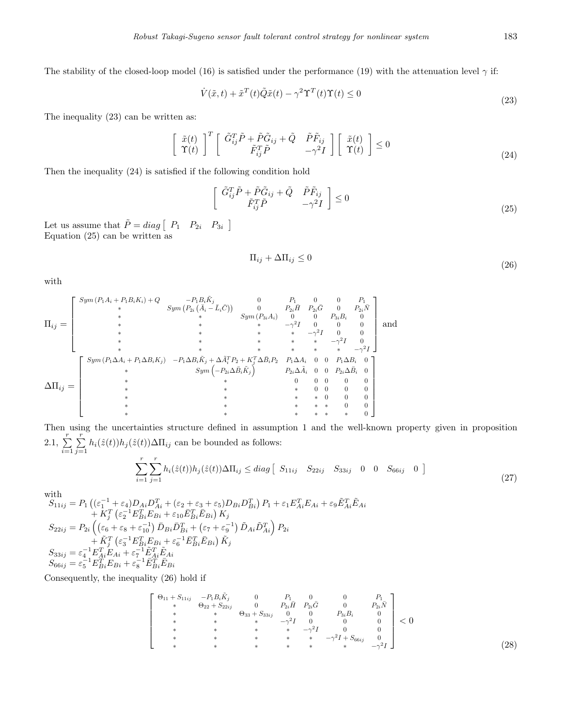The stability of the closed-loop model (16) is satisfied under the performance (19) with the attenuation level  $\gamma$  if:

$$
\dot{V}(\tilde{x},t) + \tilde{x}^T(t)\tilde{Q}\tilde{x}(t) - \gamma^2 \Upsilon^T(t)\Upsilon(t) \le 0
$$
\n(23)

The inequality (23) can be written as:

$$
\begin{bmatrix} \tilde{x}(t) \\ \tilde{\Upsilon}(t) \end{bmatrix}^T \begin{bmatrix} \tilde{G}_{ij}^T \tilde{P} + \tilde{P} \tilde{G}_{ij} + \tilde{Q} & \tilde{P} \tilde{F}_{ij} \\ \tilde{F}_{ij}^T \tilde{P} & -\gamma^2 I \end{bmatrix} \begin{bmatrix} \tilde{x}(t) \\ \tilde{\Upsilon}(t) \end{bmatrix} \le 0
$$
\n(24)

Then the inequality (24) is satisfied if the following condition hold

$$
\begin{bmatrix}\n\tilde{G}_{ij}^T \tilde{P} + \tilde{P} \tilde{G}_{ij} + \tilde{Q} & \tilde{P} \tilde{F}_{ij} \\
\tilde{F}_{ij}^T \tilde{P} & -\gamma^2 I\n\end{bmatrix} \le 0
$$
\n(25)

Let us assume that  $\tilde{P} = diag \begin{bmatrix} P_1 & P_{2i} & P_{3i} \end{bmatrix}$ Equation (25) can be written as

$$
\Pi_{ij} + \Delta \Pi_{ij} \le 0 \tag{26}
$$

with

$$
\Pi_{ij} = \begin{bmatrix} \text{Sym}(P_1 A_i + P_1 B_i K_i) + Q & -P_1 B_i \tilde{K}_j & 0 & P_1 & 0 & 0 & P_1 \\ * & \text{Sym}(P_{2i} (\bar{A}_i - \bar{L}_i \bar{C})) & 0 & P_{2i} \bar{H} & P_{2i} \bar{G} & 0 & P_{2i} \bar{N} \\ * & * & \text{Sym}(P_{3i} A_i) & 0 & 0 & P_{3i} B_i & 0 \\ * & * & * & * & -\gamma^2 I & 0 & 0 & 0 \\ * & * & * & * & * & * & -\gamma^2 I & 0 & 0 \\ * & * & * & * & * & * & -\gamma^2 I & 0 & 0 \\ * & * & * & * & * & * & -\gamma^2 I & 0 & 0 \\ * & * & \text{Sym}\left(-P_{2i} \Delta \bar{B}_i \tilde{K}_j\right) & P_{2i} \Delta A_i & 0 & 0 & P_1 \Delta B_i & 0 \\ * & * & * & * & * & * & -\gamma^2 I & 0 \\ * & * & \text{Sym}\left(-P_{2i} \Delta \bar{B}_i \tilde{K}_j\right) & P_{2i} \Delta \bar{A}_i & 0 & 0 & P_2 \Delta \bar{B}_i & 0 \\ * & * & * & * & 0 & 0 & 0 & 0 \\ * & * & * & * & * & 0 & 0 & 0 \\ * & * & * & * & * & * & 0 & 0 \\ * & * & * & * & * & * & * & 0 & 0 \end{bmatrix}
$$

Then using the uncertainties structure defined in assumption 1 and the well-known property given in proposition 2.1,  $\sum_{i=1}^{r}$ *i*=1 ∑*r*  $\sum_{j=1} h_i(\hat{z}(t))h_j(\hat{z}(t))\Delta\Pi_{ij}$  can be bounded as follows:

$$
\sum_{i=1}^{r} \sum_{j=1}^{r} h_i(\hat{z}(t)) h_j(\hat{z}(t)) \Delta \Pi_{ij} \le diag \left[ S_{11ij} \quad S_{22ij} \quad S_{33ij} \quad 0 \quad 0 \quad S_{66ij} \quad 0 \right]
$$
\n(27)

with

 $S_{11ij}=P_{1}\left((\varepsilon_{1}^{-1}+\varepsilon_{4})D_{Ai}D_{Ai}^{T}+(\varepsilon_{2}+\varepsilon_{3}+\varepsilon_{5})D_{Bi}D_{Bi}^{T}\right)P_{1}+\varepsilon_{1}E_{Ai}^{T}E_{Ai}+\varepsilon_{9}\tilde{E}_{Ai}^{T}\tilde{E}_{Ai}$  $+ K_j^T \left( \varepsilon_2^{-1} E_{Bi}^T E_{Bi} + \varepsilon_{10} \bar{E}_{Bi}^T \bar{E}_{Bi} \right) K_j$  $S_{22ij}=P_{2i}\left(\left(\varepsilon_{6}+\varepsilon_{8}+\varepsilon_{10}^{-1}\right)\bar{D}_{Bi}\bar{D}_{Bi}^{T}+\left(\varepsilon_{7}+\varepsilon_{9}^{-1}\right)\tilde{D}_{Ai}\tilde{D}_{Ai}^{T}\right)P_{2i}$  $+\,\widetilde{K}_{j}^{T}\left(\varepsilon_{3}^{-1}E_{Bi}^{T}E_{Bi}+\varepsilon_{6}^{-1}\bar{E}_{Bi}^{T}\bar{E}_{Bi}\right)\widetilde{K}_{j}$  $S_{33ij} = \varepsilon_4^{-1} E_{Ai}^T E_{Ai} + \varepsilon_7^{-1} \tilde{E}_{Ai}^T \tilde{E}_{Ai}$  $S_{66ij} = \varepsilon_5^{-1} E_{Bi}^{\hat{T}} E_{Bi} + \varepsilon_8^{-1} \bar{E}_{Bi}^{\hat{T}} \bar{E}_{Bi}$ 

Consequently, the inequality (26) hold if

$$
\begin{bmatrix}\n\Theta_{11} + S_{11ij} & -P_1 B_i \tilde{K}_j & 0 & P_1 & 0 & 0 & P_1 \\
\ast & \Theta_{22} + S_{22ij} & 0 & P_{2i} \tilde{H} & P_{2i} \tilde{G} & 0 & P_{2i} \tilde{N} \\
\ast & \ast & \Theta_{33} + S_{33ij} & 0 & 0 & P_{3i} B_i & 0 \\
\ast & \ast & \ast & \ast & -\gamma^2 I & 0 & 0 & 0 \\
\ast & \ast & \ast & \ast & \ast & \ast & -\gamma^2 I + S_{66ij} & 0 \\
\ast & \ast & \ast & \ast & \ast & \ast & \ast & -\gamma^2 I\n\end{bmatrix} < 0
$$
\n(28)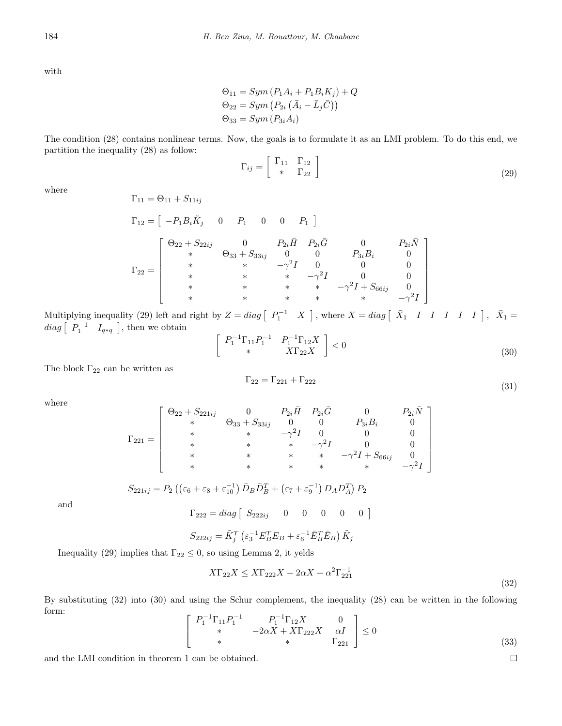with

$$
\Theta_{11} = Sym (P_1 A_i + P_1 B_i K_j) + Q
$$
  
\n
$$
\Theta_{22} = Sym (P_{2i} (\overline{A}_i - \overline{L}_j \overline{C}))
$$
  
\n
$$
\Theta_{33} = Sym (P_{3i} A_i)
$$

The condition (28) contains nonlinear terms. Now, the goals is to formulate it as an LMI problem. To do this end, we partition the inequality (28) as follow:

$$
\Gamma_{ij} = \begin{bmatrix} \Gamma_{11} & \Gamma_{12} \\ * & \Gamma_{22} \end{bmatrix} \tag{29}
$$

where

$$
\Gamma_{11} = \Theta_{11} + S_{11ij}
$$
\n
$$
\Gamma_{12} = \begin{bmatrix} -P_1 B_i \tilde{K}_j & 0 & P_1 & 0 & 0 & P_1 \end{bmatrix}
$$
\n
$$
\Gamma_{22} = \begin{bmatrix} \Theta_{22} + S_{22ij} & 0 & P_2 i \bar{H} & P_{2i} \bar{G} & 0 & P_{2i} \bar{N} \\ * & \Theta_{33} + S_{33ij} & 0 & 0 & P_{3i} B_i & 0 \\ * & * & * & -\gamma^2 I & 0 & 0 & 0 \\ * & * & * & * & -\gamma^2 I + S_{66ij} & 0 \\ * & * & * & * & * & -\gamma^2 I + S_{66ij} & 0 \\ * & * & * & * & * & * & -\gamma^2 I \end{bmatrix}
$$

Multiplying inequality (29) left and right by  $Z = diag \begin{bmatrix} P_1^{-1} & X \end{bmatrix}$ , where  $X = diag \begin{bmatrix} \bar{X}_1 & I & I & I & I & I \end{bmatrix}$ ,  $\bar{X}_1 =$  $diag \begin{bmatrix} P_1^{-1} & I_{q*q} \end{bmatrix}$ , then we obtain

$$
\begin{bmatrix} P_1^{-1} \Gamma_{11} P_1^{-1} & P_1^{-1} \Gamma_{12} X \\ * & X \Gamma_{22} X \end{bmatrix} < 0 \tag{30}
$$

The block  $\Gamma_{22}$  can be written as

$$
\Gamma_{22} = \Gamma_{221} + \Gamma_{222} \tag{31}
$$

1  $\mathbf{I}$  $\overline{1}$  $\overline{1}$  $\overline{1}$  $\overline{1}$  $\overline{1}$  $\overline{1}$ 

where

$$
\Gamma_{221} = \left[\begin{array}{ccccc} \Theta_{22} + S_{221ij} & 0 & P_{2i}\bar{H} & P_{2i}\bar{G} & 0 & P_{2i}\bar{N} \\ * & \Theta_{33} + S_{33ij} & 0 & 0 & P_{3i}B_i & 0 \\ * & * & * & -\gamma^2 I & 0 & 0 & 0 \\ * & * & * & * & -\gamma^2 I + S_{66ij} & 0 \\ * & * & * & * & * & -\gamma^2 I + S_{66ij} & -\gamma^2 I \end{array}\right]
$$

and

$$
\Gamma_{222} = diag \left[ \begin{array}{cc} S_{222ij} & 0 & 0 & 0 & 0 \end{array} \right]
$$

$$
S_{222ij} = \tilde{K}_j^T \left( \varepsilon_3^{-1} E_B^T E_B + \varepsilon_6^{-1} \bar{E}_B^T \bar{E}_B \right) \tilde{K}_j
$$

 $S_{221ij} = P_2 \left( \left( \varepsilon_6 + \varepsilon_8 + \varepsilon_{10}^{-1} \right) \bar{D}_B \bar{D}_B^T + \left( \varepsilon_7 + \varepsilon_9^{-1} \right) D_A D_A^T \right) P_2$ 

Inequality (29) implies that  $\Gamma_{22} \leq 0$ , so using Lemma 2, it yelds

$$
X\Gamma_{22}X \le X\Gamma_{222}X - 2\alpha X - \alpha^2 \Gamma_{221}^{-1}
$$
\n(32)

By substituting (32) into (30) and using the Schur complement, the inequality (28) can be written in the following form:

$$
\begin{bmatrix} P_1^{-1} \Gamma_{11} P_1^{-1} & P_1^{-1} \Gamma_{12} X & 0 \\ * & -2\alpha X + X \Gamma_{222} X & \alpha I \\ * & * & \Gamma_{221} \end{bmatrix} \le 0
$$
\n(33)

and the LMI condition in theorem 1 can be obtained.

 $\Box$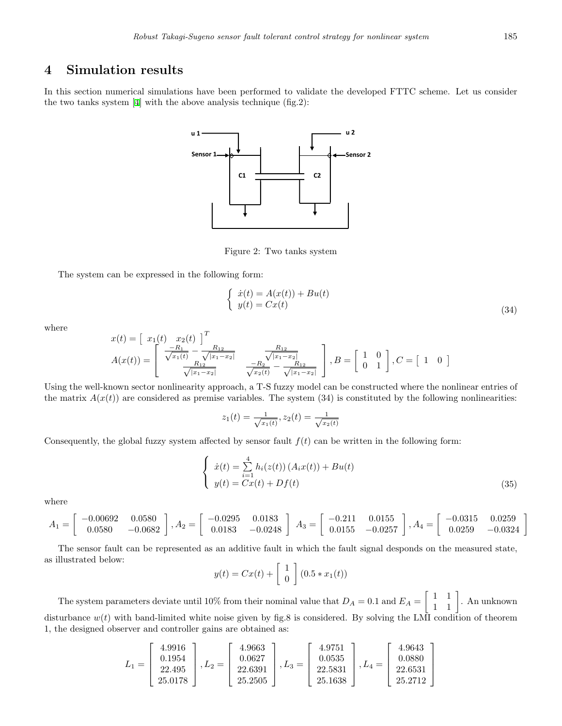### **4 Simulation results**

In this section numerical simulations have been performed to validate the developed FTTC scheme. Let us consider the two tanks system[[4\]](#page-11-15) with the above analysis technique (fig.2):



Figure 2: Two tanks system

The system can be expressed in the following form:

$$
\begin{cases}\n\dot{x}(t) = A(x(t)) + Bu(t) \\
y(t) = Cx(t)\n\end{cases}
$$
\n(34)

where

$$
x(t) = \begin{bmatrix} x_1(t) & x_2(t) \end{bmatrix}^T
$$
  
\n
$$
A(x(t)) = \begin{bmatrix} \frac{-R_1}{\sqrt{x_1(t)}} - \frac{R_{12}}{\sqrt{|x_1 - x_2|}} & \frac{R_{12}}{\sqrt{|x_1 - x_2|}} \\ \frac{R_{12}}{\sqrt{|x_1 - x_2|}} & \frac{-R_2}{\sqrt{x_2(t)}} - \frac{R_{12}}{\sqrt{|x_1 - x_2|}} \end{bmatrix}, B = \begin{bmatrix} 1 & 0 \ 0 & 1 \end{bmatrix}, C = \begin{bmatrix} 1 & 0 \end{bmatrix}
$$

Using the well-known sector nonlinearity approach, a T-S fuzzy model can be constructed where the nonlinear entries of the matrix  $A(x(t))$  are considered as premise variables. The system (34) is constituted by the following nonlinearities:

$$
z_1(t) = \frac{1}{\sqrt{x_1(t)}}, z_2(t) = \frac{1}{\sqrt{x_2(t)}}
$$

Consequently, the global fuzzy system affected by sensor fault  $f(t)$  can be written in the following form:

$$
\begin{cases}\n\dot{x}(t) = \sum_{i=1}^{4} h_i(z(t)) (A_i x(t)) + B u(t) \\
y(t) = C x(t) + D f(t)\n\end{cases}
$$
\n(35)

where

$$
A_1 = \begin{bmatrix} -0.00692 & 0.0580 \\ 0.0580 & -0.0682 \end{bmatrix}, A_2 = \begin{bmatrix} -0.0295 & 0.0183 \\ 0.0183 & -0.0248 \end{bmatrix}, A_3 = \begin{bmatrix} -0.211 & 0.0155 \\ 0.0155 & -0.0257 \end{bmatrix}, A_4 = \begin{bmatrix} -0.0315 & 0.0259 \\ 0.0259 & -0.0324 \end{bmatrix}
$$

The sensor fault can be represented as an additive fault in which the fault signal desponds on the measured state, as illustrated below:

$$
y(t) = Cx(t) + \begin{bmatrix} 1 \\ 0 \end{bmatrix} (0.5 * x_1(t))
$$

The system parameters deviate until 10% from their nominal value that  $D_A = 0.1$  and  $E_A =$  $\left[\begin{array}{cc} 1 & 1 \\ 1 & 1 \end{array}\right]$ . An unknown disturbance  $w(t)$  with band-limited white noise given by fig.8 is considered. By solving the LMI condition of theorem 1, the designed observer and controller gains are obtained as:

$$
L_1 = \begin{bmatrix} 4.9916 \\ 0.1954 \\ 22.495 \\ 25.0178 \end{bmatrix}, L_2 = \begin{bmatrix} 4.9663 \\ 0.0627 \\ 22.6391 \\ 25.2505 \end{bmatrix}, L_3 = \begin{bmatrix} 4.9751 \\ 0.0535 \\ 22.5831 \\ 25.1638 \end{bmatrix}, L_4 = \begin{bmatrix} 4.9643 \\ 0.0880 \\ 22.6531 \\ 25.2712 \end{bmatrix}
$$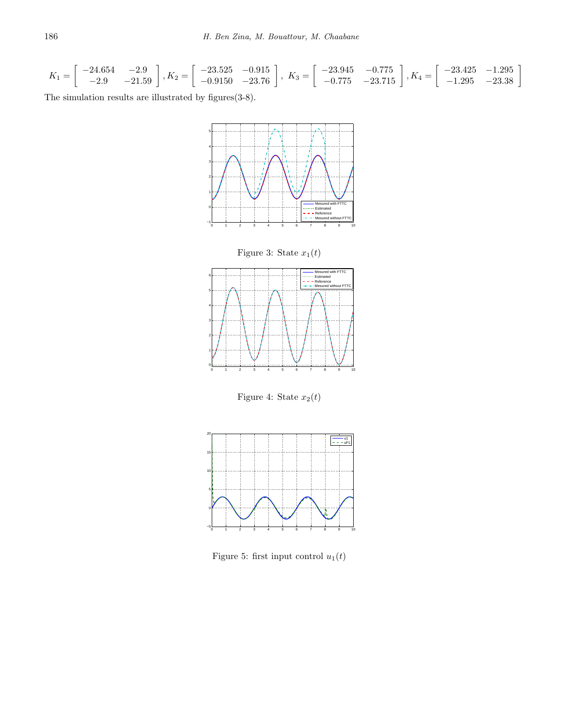$$
K_1 = \begin{bmatrix} -24.654 & -2.9 \\ -2.9 & -21.59 \end{bmatrix}, K_2 = \begin{bmatrix} -23.525 & -0.915 \\ -0.9150 & -23.76 \end{bmatrix}, K_3 = \begin{bmatrix} -23.945 & -0.775 \\ -0.775 & -23.715 \end{bmatrix}, K_4 = \begin{bmatrix} -23.425 & -1.295 \\ -1.295 & -23.38 \end{bmatrix}
$$

The simulation results are illustrated by figures(3-8).







Figure 4: State  $x_2(t)$ 



Figure 5: first input control  $u_1(t)$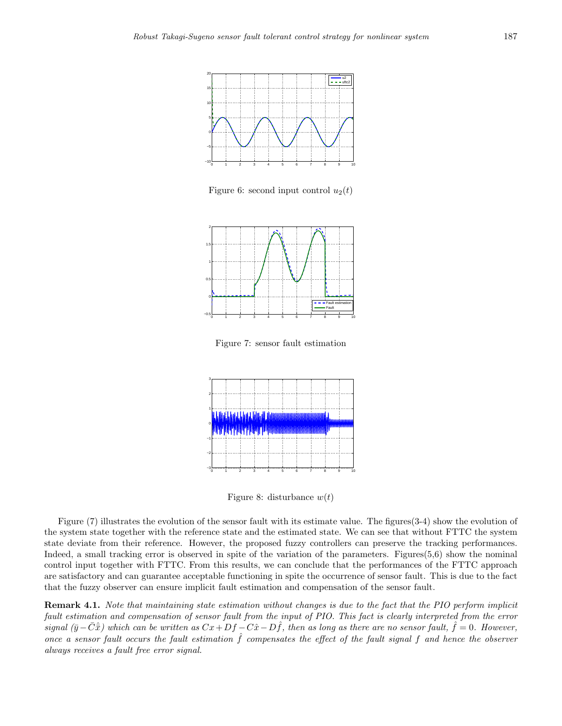

Figure 6: second input control  $u_2(t)$ 



Figure 7: sensor fault estimation



Figure 8: disturbance  $w(t)$ 

Figure (7) illustrates the evolution of the sensor fault with its estimate value. The figures(3-4) show the evolution of the system state together with the reference state and the estimated state. We can see that without FTTC the system state deviate from their reference. However, the proposed fuzzy controllers can preserve the tracking performances. Indeed, a small tracking error is observed in spite of the variation of the parameters. Figures $(5,6)$  show the nominal control input together with FTTC. From this results, we can conclude that the performances of the FTTC approach are satisfactory and can guarantee acceptable functioning in spite the occurrence of sensor fault. This is due to the fact that the fuzzy observer can ensure implicit fault estimation and compensation of the sensor fault.

**Remark 4.1.** *Note that maintaining state estimation without changes is due to the fact that the PIO perform implicit fault estimation and compensation of sensor fault from the input of PIO. This fact is clearly interpreted from the error* signal  $(\bar{y}-\bar{C}\hat{x})$  which can be written as  $Cx+Df-C\hat{x}-D\hat{f}$ , then as long as there are no sensor fault,  $\hat{f}=0$ . However, *once a sensor fault occurs the fault estimation*  $\hat{f}$  *compensates the effect of the fault signal*  $f$  *and hence the observer always receives a fault free error signal.*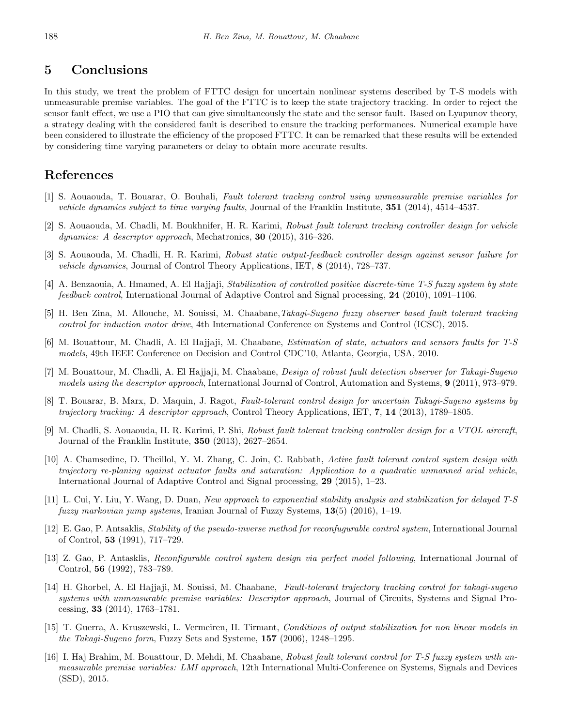### **5 Conclusions**

In this study, we treat the problem of FTTC design for uncertain nonlinear systems described by T-S models with unmeasurable premise variables. The goal of the FTTC is to keep the state trajectory tracking. In order to reject the sensor fault effect, we use a PIO that can give simultaneously the state and the sensor fault. Based on Lyapunov theory, a strategy dealing with the considered fault is described to ensure the tracking performances. Numerical example have been considered to illustrate the efficiency of the proposed FTTC. It can be remarked that these results will be extended by considering time varying parameters or delay to obtain more accurate results.

### **References**

- <span id="page-11-9"></span>[1] S. Aouaouda, T. Bouarar, O. Bouhali, *Fault tolerant tracking control using unmeasurable premise variables for vehicle dynamics subject to time varying faults*, Journal of the Franklin Institute, **351** (2014), 4514–4537.
- <span id="page-11-10"></span>[2] S. Aouaouda, M. Chadli, M. Boukhnifer, H. R. Karimi, *Robust fault tolerant tracking controller design for vehicle dynamics: A descriptor approach*, Mechatronics, **30** (2015), 316–326.
- <span id="page-11-5"></span>[3] S. Aouaouda, M. Chadli, H. R. Karimi, *Robust static output-feedback controller design against sensor failure for vehicle dynamics*, Journal of Control Theory Applications, IET, **8** (2014), 728–737.
- <span id="page-11-15"></span>[4] A. Benzaouia, A. Hmamed, A. El Hajjaji, *Stabilization of controlled positive discrete-time T-S fuzzy system by state feedback control*, International Journal of Adaptive Control and Signal processing, **24** (2010), 1091–1106.
- <span id="page-11-13"></span>[5] H. Ben Zina, M. Allouche, M. Souissi, M. Chaabane,*Takagi-Sugeno fuzzy observer based fault tolerant tracking control for induction motor drive*, 4th International Conference on Systems and Control (ICSC), 2015.
- <span id="page-11-12"></span>[6] M. Bouattour, M. Chadli, A. El Hajjaji, M. Chaabane, *Estimation of state, actuators and sensors faults for T-S models*, 49th IEEE Conference on Decision and Control CDC'10, Atlanta, Georgia, USA, 2010.
- <span id="page-11-2"></span>[7] M. Bouattour, M. Chadli, A. El Hajjaji, M. Chaabane, *Design of robust fault detection observer for Takagi-Sugeno models using the descriptor approach*, International Journal of Control, Automation and Systems, **9** (2011), 973–979.
- <span id="page-11-11"></span>[8] T. Bouarar, B. Marx, D. Maquin, J. Ragot, *Fault-tolerant control design for uncertain Takagi-Sugeno systems by trajectory tracking: A descriptor approach*, Control Theory Applications, IET, **7**, **14** (2013), 1789–1805.
- <span id="page-11-8"></span>[9] M. Chadli, S. Aouaouda, H. R. Karimi, P. Shi, *Robust fault tolerant tracking controller design for a VTOL aircraft*, Journal of the Franklin Institute, **350** (2013), 2627–2654.
- <span id="page-11-3"></span>[10] A. Chamsedine, D. Theillol, Y. M. Zhang, C. Join, C. Rabbath, *Active fault tolerant control system design with trajectory re-planing against actuator faults and saturation: Application to a quadratic unmanned arial vehicle*, International Journal of Adaptive Control and Signal processing, **29** (2015), 1–23.
- <span id="page-11-4"></span>[11] L. Cui, Y. Liu, Y. Wang, D. Duan, *New approach to exponential stability analysis and stabilization for delayed T-S fuzzy markovian jump systems*, Iranian Journal of Fuzzy Systems, **13**(5) (2016), 1–19.
- <span id="page-11-0"></span>[12] E. Gao, P. Antsaklis, *Stability of the pseudo-inverse method for reconfugurable control system*, International Journal of Control, **53** (1991), 717–729.
- <span id="page-11-1"></span>[13] Z. Gao, P. Antasklis, *Reconfigurable control system design via perfect model following*, International Journal of Control, **56** (1992), 783–789.
- <span id="page-11-6"></span>[14] H. Ghorbel, A. El Hajjaji, M. Souissi, M. Chaabane, *Fault-tolerant trajectory tracking control for takagi-sugeno systems with unmeasurable premise variables: Descriptor approach*, Journal of Circuits, Systems and Signal Processing, **33** (2014), 1763–1781.
- <span id="page-11-14"></span>[15] T. Guerra, A. Kruszewski, L. Vermeiren, H. Tirmant, *Conditions of output stabilization for non linear models in the Takagi-Sugeno form*, Fuzzy Sets and Systeme, **157** (2006), 1248–1295.
- <span id="page-11-7"></span>[16] I. Haj Brahim, M. Bouattour, D. Mehdi, M. Chaabane, *Robust fault tolerant control for T-S fuzzy system with unmeasurable premise variables: LMI approach*, 12th International Multi-Conference on Systems, Signals and Devices (SSD), 2015.